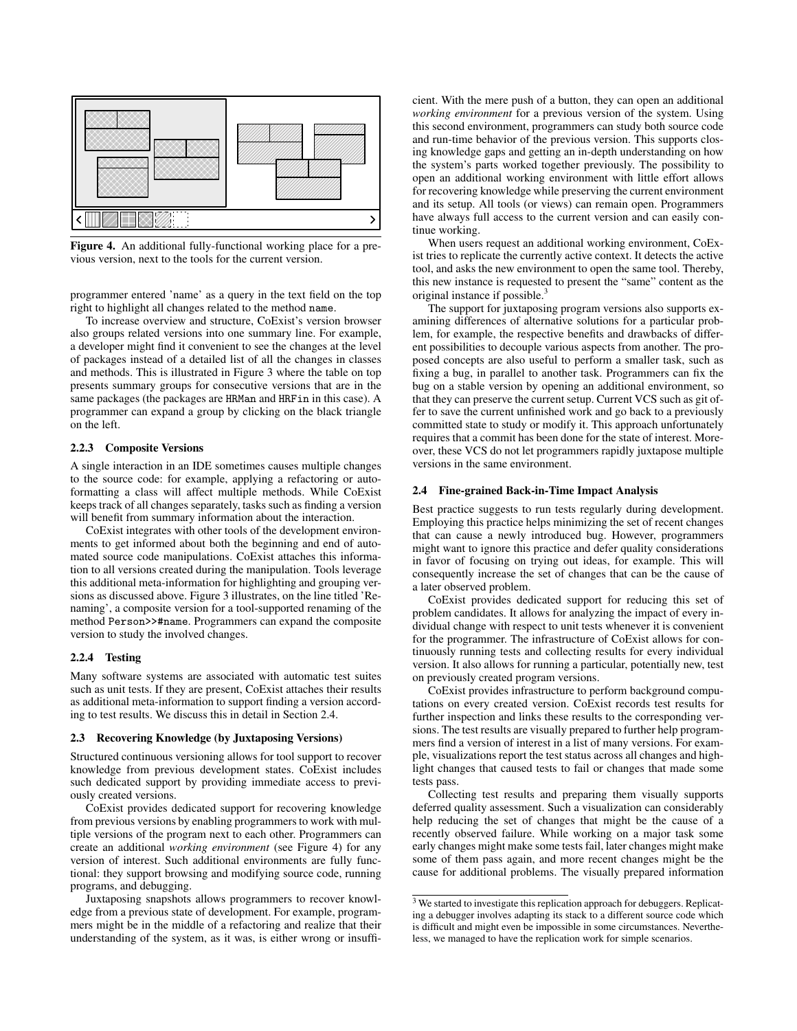

Figure 4. An additional fully-functional working place for a previous version, next to the tools for the current version.

programmer entered 'name' as a query in the text field on the top right to highlight all changes related to the method name.

To increase overview and structure, CoExist's version browser also groups related versions into one summary line. For example, a developer might find it convenient to see the changes at the level of packages instead of a detailed list of all the changes in classes and methods. This is illustrated in Figure 3 where the table on top presents summary groups for consecutive versions that are in the same packages (the packages are HRMan and HRFin in this case). A programmer can expand a group by clicking on the black triangle on the left.

### 2.2.3 Composite Versions

A single interaction in an IDE sometimes causes multiple changes to the source code: for example, applying a refactoring or autoformatting a class will affect multiple methods. While CoExist keeps track of all changes separately, tasks such as finding a version will benefit from summary information about the interaction.

CoExist integrates with other tools of the development environments to get informed about both the beginning and end of automated source code manipulations. CoExist attaches this information to all versions created during the manipulation. Tools leverage this additional meta-information for highlighting and grouping versions as discussed above. Figure 3 illustrates, on the line titled 'Renaming', a composite version for a tool-supported renaming of the method Person>>#name. Programmers can expand the composite version to study the involved changes.

#### 2.2.4 Testing

Many software systems are associated with automatic test suites such as unit tests. If they are present, CoExist attaches their results as additional meta-information to support finding a version according to test results. We discuss this in detail in Section 2.4.

### 2.3 Recovering Knowledge (by Juxtaposing Versions)

Structured continuous versioning allows for tool support to recover knowledge from previous development states. CoExist includes such dedicated support by providing immediate access to previously created versions.

CoExist provides dedicated support for recovering knowledge from previous versions by enabling programmers to work with multiple versions of the program next to each other. Programmers can create an additional *working environment* (see Figure 4) for any version of interest. Such additional environments are fully functional: they support browsing and modifying source code, running programs, and debugging.

Juxtaposing snapshots allows programmers to recover knowledge from a previous state of development. For example, programmers might be in the middle of a refactoring and realize that their understanding of the system, as it was, is either wrong or insufficient. With the mere push of a button, they can open an additional *working environment* for a previous version of the system. Using this second environment, programmers can study both source code and run-time behavior of the previous version. This supports closing knowledge gaps and getting an in-depth understanding on how the system's parts worked together previously. The possibility to open an additional working environment with little effort allows for recovering knowledge while preserving the current environment and its setup. All tools (or views) can remain open. Programmers have always full access to the current version and can easily continue working.

When users request an additional working environment, CoExist tries to replicate the currently active context. It detects the active tool, and asks the new environment to open the same tool. Thereby, this new instance is requested to present the "same" content as the original instance if possible.<sup>3</sup>

The support for juxtaposing program versions also supports examining differences of alternative solutions for a particular problem, for example, the respective benefits and drawbacks of different possibilities to decouple various aspects from another. The proposed concepts are also useful to perform a smaller task, such as fixing a bug, in parallel to another task. Programmers can fix the bug on a stable version by opening an additional environment, so that they can preserve the current setup. Current VCS such as git offer to save the current unfinished work and go back to a previously committed state to study or modify it. This approach unfortunately requires that a commit has been done for the state of interest. Moreover, these VCS do not let programmers rapidly juxtapose multiple versions in the same environment.

### 2.4 Fine-grained Back-in-Time Impact Analysis

Best practice suggests to run tests regularly during development. Employing this practice helps minimizing the set of recent changes that can cause a newly introduced bug. However, programmers might want to ignore this practice and defer quality considerations in favor of focusing on trying out ideas, for example. This will consequently increase the set of changes that can be the cause of a later observed problem.

CoExist provides dedicated support for reducing this set of problem candidates. It allows for analyzing the impact of every individual change with respect to unit tests whenever it is convenient for the programmer. The infrastructure of CoExist allows for continuously running tests and collecting results for every individual version. It also allows for running a particular, potentially new, test on previously created program versions.

CoExist provides infrastructure to perform background computations on every created version. CoExist records test results for further inspection and links these results to the corresponding versions. The test results are visually prepared to further help programmers find a version of interest in a list of many versions. For example, visualizations report the test status across all changes and highlight changes that caused tests to fail or changes that made some tests pass.

Collecting test results and preparing them visually supports deferred quality assessment. Such a visualization can considerably help reducing the set of changes that might be the cause of a recently observed failure. While working on a major task some early changes might make some tests fail, later changes might make some of them pass again, and more recent changes might be the cause for additional problems. The visually prepared information

<sup>&</sup>lt;sup>3</sup> We started to investigate this replication approach for debuggers. Replicating a debugger involves adapting its stack to a different source code which is difficult and might even be impossible in some circumstances. Nevertheless, we managed to have the replication work for simple scenarios.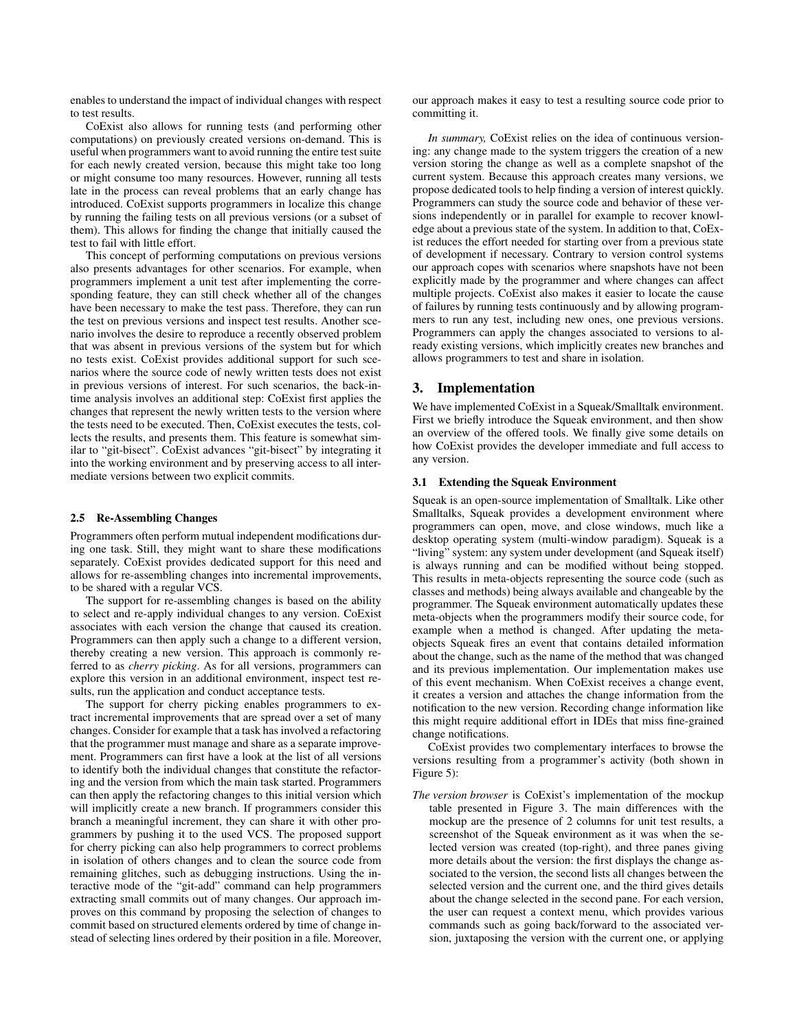enables to understand the impact of individual changes with respect to test results.

CoExist also allows for running tests (and performing other computations) on previously created versions on-demand. This is useful when programmers want to avoid running the entire test suite for each newly created version, because this might take too long or might consume too many resources. However, running all tests late in the process can reveal problems that an early change has introduced. CoExist supports programmers in localize this change by running the failing tests on all previous versions (or a subset of them). This allows for finding the change that initially caused the test to fail with little effort.

This concept of performing computations on previous versions also presents advantages for other scenarios. For example, when programmers implement a unit test after implementing the corresponding feature, they can still check whether all of the changes have been necessary to make the test pass. Therefore, they can run the test on previous versions and inspect test results. Another scenario involves the desire to reproduce a recently observed problem that was absent in previous versions of the system but for which no tests exist. CoExist provides additional support for such scenarios where the source code of newly written tests does not exist in previous versions of interest. For such scenarios, the back-intime analysis involves an additional step: CoExist first applies the changes that represent the newly written tests to the version where the tests need to be executed. Then, CoExist executes the tests, collects the results, and presents them. This feature is somewhat similar to "git-bisect". CoExist advances "git-bisect" by integrating it into the working environment and by preserving access to all intermediate versions between two explicit commits.

### 2.5 Re-Assembling Changes

Programmers often perform mutual independent modifications during one task. Still, they might want to share these modifications separately. CoExist provides dedicated support for this need and allows for re-assembling changes into incremental improvements, to be shared with a regular VCS.

The support for re-assembling changes is based on the ability to select and re-apply individual changes to any version. CoExist associates with each version the change that caused its creation. Programmers can then apply such a change to a different version, thereby creating a new version. This approach is commonly referred to as *cherry picking*. As for all versions, programmers can explore this version in an additional environment, inspect test results, run the application and conduct acceptance tests.

The support for cherry picking enables programmers to extract incremental improvements that are spread over a set of many changes. Consider for example that a task has involved a refactoring that the programmer must manage and share as a separate improvement. Programmers can first have a look at the list of all versions to identify both the individual changes that constitute the refactoring and the version from which the main task started. Programmers can then apply the refactoring changes to this initial version which will implicitly create a new branch. If programmers consider this branch a meaningful increment, they can share it with other programmers by pushing it to the used VCS. The proposed support for cherry picking can also help programmers to correct problems in isolation of others changes and to clean the source code from remaining glitches, such as debugging instructions. Using the interactive mode of the "git-add" command can help programmers extracting small commits out of many changes. Our approach improves on this command by proposing the selection of changes to commit based on structured elements ordered by time of change instead of selecting lines ordered by their position in a file. Moreover, our approach makes it easy to test a resulting source code prior to committing it.

*In summary,* CoExist relies on the idea of continuous versioning: any change made to the system triggers the creation of a new version storing the change as well as a complete snapshot of the current system. Because this approach creates many versions, we propose dedicated tools to help finding a version of interest quickly. Programmers can study the source code and behavior of these versions independently or in parallel for example to recover knowledge about a previous state of the system. In addition to that, CoExist reduces the effort needed for starting over from a previous state of development if necessary. Contrary to version control systems our approach copes with scenarios where snapshots have not been explicitly made by the programmer and where changes can affect multiple projects. CoExist also makes it easier to locate the cause of failures by running tests continuously and by allowing programmers to run any test, including new ones, one previous versions. Programmers can apply the changes associated to versions to already existing versions, which implicitly creates new branches and allows programmers to test and share in isolation.

## 3. Implementation

We have implemented CoExist in a Squeak/Smalltalk environment. First we briefly introduce the Squeak environment, and then show an overview of the offered tools. We finally give some details on how CoExist provides the developer immediate and full access to any version.

### 3.1 Extending the Squeak Environment

Squeak is an open-source implementation of Smalltalk. Like other Smalltalks, Squeak provides a development environment where programmers can open, move, and close windows, much like a desktop operating system (multi-window paradigm). Squeak is a "living" system: any system under development (and Squeak itself) is always running and can be modified without being stopped. This results in meta-objects representing the source code (such as classes and methods) being always available and changeable by the programmer. The Squeak environment automatically updates these meta-objects when the programmers modify their source code, for example when a method is changed. After updating the metaobjects Squeak fires an event that contains detailed information about the change, such as the name of the method that was changed and its previous implementation. Our implementation makes use of this event mechanism. When CoExist receives a change event, it creates a version and attaches the change information from the notification to the new version. Recording change information like this might require additional effort in IDEs that miss fine-grained change notifications.

CoExist provides two complementary interfaces to browse the versions resulting from a programmer's activity (both shown in Figure 5):

*The version browser* is CoExist's implementation of the mockup table presented in Figure 3. The main differences with the mockup are the presence of 2 columns for unit test results, a screenshot of the Squeak environment as it was when the selected version was created (top-right), and three panes giving more details about the version: the first displays the change associated to the version, the second lists all changes between the selected version and the current one, and the third gives details about the change selected in the second pane. For each version, the user can request a context menu, which provides various commands such as going back/forward to the associated version, juxtaposing the version with the current one, or applying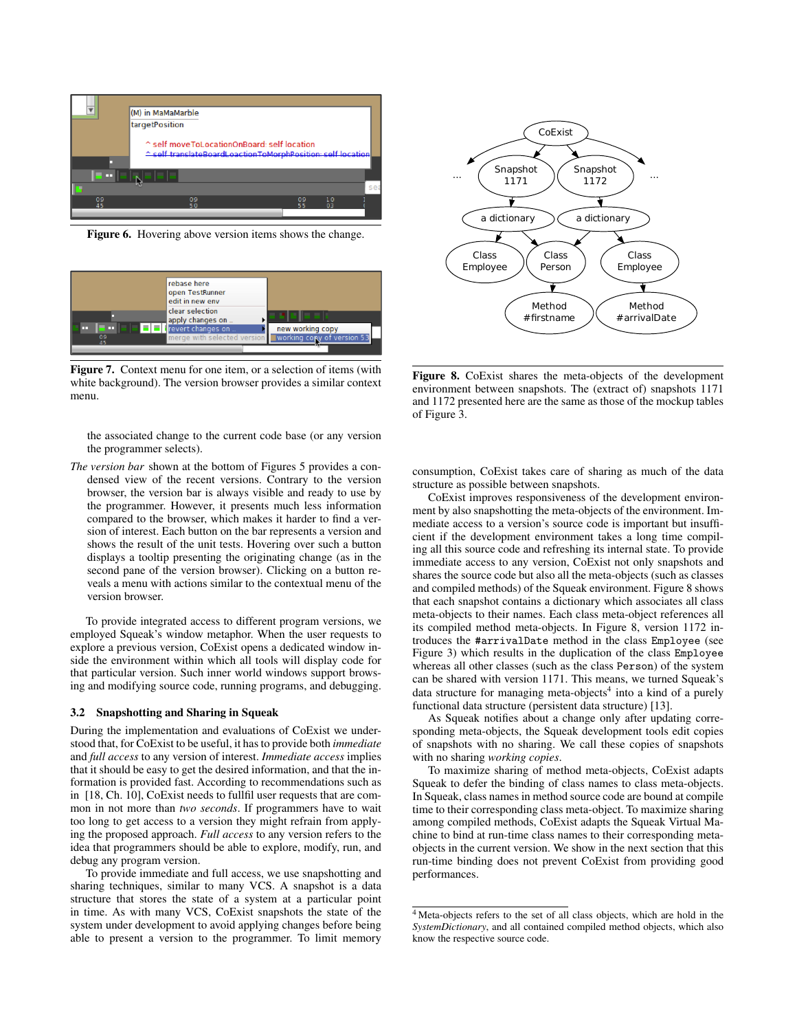

Figure 6. Hovering above version items shows the change.



Figure 7. Context menu for one item, or a selection of items (with white background). The version browser provides a similar context menu.



Figure 8. CoExist shares the meta-objects of the development environment between snapshots. The (extract of) snapshots 1171 and 1172 presented here are the same as those of the mockup tables of Figure 3.

the associated change to the current code base (or any version the programmer selects).

*The version bar* shown at the bottom of Figures 5 provides a condensed view of the recent versions. Contrary to the version browser, the version bar is always visible and ready to use by the programmer. However, it presents much less information compared to the browser, which makes it harder to find a version of interest. Each button on the bar represents a version and shows the result of the unit tests. Hovering over such a button displays a tooltip presenting the originating change (as in the second pane of the version browser). Clicking on a button reveals a menu with actions similar to the contextual menu of the version browser.

To provide integrated access to different program versions, we employed Squeak's window metaphor. When the user requests to explore a previous version, CoExist opens a dedicated window inside the environment within which all tools will display code for that particular version. Such inner world windows support browsing and modifying source code, running programs, and debugging.

#### 3.2 Snapshotting and Sharing in Squeak

During the implementation and evaluations of CoExist we understood that, for CoExist to be useful, it has to provide both *immediate* and *full access* to any version of interest. *Immediate access* implies that it should be easy to get the desired information, and that the information is provided fast. According to recommendations such as in [18, Ch. 10], CoExist needs to fullfil user requests that are common in not more than *two seconds*. If programmers have to wait too long to get access to a version they might refrain from applying the proposed approach. *Full access* to any version refers to the idea that programmers should be able to explore, modify, run, and debug any program version.

To provide immediate and full access, we use snapshotting and sharing techniques, similar to many VCS. A snapshot is a data structure that stores the state of a system at a particular point in time. As with many VCS, CoExist snapshots the state of the system under development to avoid applying changes before being able to present a version to the programmer. To limit memory consumption, CoExist takes care of sharing as much of the data structure as possible between snapshots.

CoExist improves responsiveness of the development environment by also snapshotting the meta-objects of the environment. Immediate access to a version's source code is important but insufficient if the development environment takes a long time compiling all this source code and refreshing its internal state. To provide immediate access to any version, CoExist not only snapshots and shares the source code but also all the meta-objects (such as classes and compiled methods) of the Squeak environment. Figure 8 shows that each snapshot contains a dictionary which associates all class meta-objects to their names. Each class meta-object references all its compiled method meta-objects. In Figure 8, version 1172 introduces the #arrivalDate method in the class Employee (see Figure 3) which results in the duplication of the class Employee whereas all other classes (such as the class Person) of the system can be shared with version 1171. This means, we turned Squeak's data structure for managing meta-objects<sup>4</sup> into a kind of a purely functional data structure (persistent data structure) [13].

As Squeak notifies about a change only after updating corresponding meta-objects, the Squeak development tools edit copies of snapshots with no sharing. We call these copies of snapshots with no sharing *working copies*.

To maximize sharing of method meta-objects, CoExist adapts Squeak to defer the binding of class names to class meta-objects. In Squeak, class names in method source code are bound at compile time to their corresponding class meta-object. To maximize sharing among compiled methods, CoExist adapts the Squeak Virtual Machine to bind at run-time class names to their corresponding metaobjects in the current version. We show in the next section that this run-time binding does not prevent CoExist from providing good performances.

<sup>4</sup> Meta-objects refers to the set of all class objects, which are hold in the *SystemDictionary*, and all contained compiled method objects, which also know the respective source code.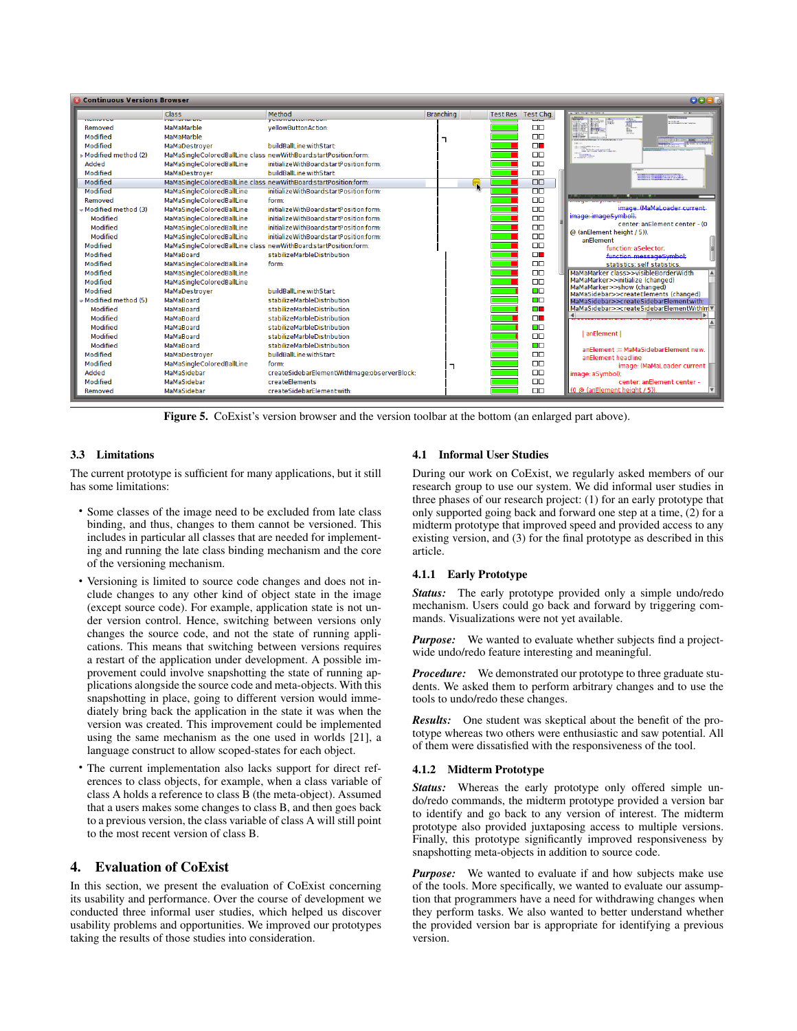| <b>OOO</b><br><b>Continuous Versions Browser</b> |                                  |                                                                  |                  |           |                                         |                                                                                                                                                                                                                                                                                                                                                                                                                                                                       |
|--------------------------------------------------|----------------------------------|------------------------------------------------------------------|------------------|-----------|-----------------------------------------|-----------------------------------------------------------------------------------------------------------------------------------------------------------------------------------------------------------------------------------------------------------------------------------------------------------------------------------------------------------------------------------------------------------------------------------------------------------------------|
|                                                  | <b>Class</b>                     | Method                                                           | <b>Branching</b> | Test Res. | Test Chq.                               |                                                                                                                                                                                                                                                                                                                                                                                                                                                                       |
| <b>INCITIONS</b><br>Removed                      | mamamana ong<br>MaMaMarble       | yunumbuttunmutun<br>vellowButtonAction:                          |                  |           | $\overline{a}$<br>ᄆ                     | E<br>exer.                                                                                                                                                                                                                                                                                                                                                                                                                                                            |
| Modified                                         | MaMaMarble                       |                                                                  |                  |           | $\Box$                                  | 222<br>160000                                                                                                                                                                                                                                                                                                                                                                                                                                                         |
| <b>Modified</b>                                  | MaMaDestrover                    | buildBallLine:withStart:                                         | ٦                |           | $\Box$                                  |                                                                                                                                                                                                                                                                                                                                                                                                                                                                       |
| Modified method (2)                              |                                  | MaMaSingleColoredBallLine class newWithBoard:startPosition:form: |                  |           | $\Box$                                  | <b>Site Companies American</b><br>The Military and personal companies<br>$\frac{1}{2} \frac{1}{2} \frac{1}{2} \frac{1}{2} \frac{1}{2} \frac{1}{2} \frac{1}{2} \frac{1}{2} \frac{1}{2} \frac{1}{2} \frac{1}{2} \frac{1}{2} \frac{1}{2} \frac{1}{2} \frac{1}{2} \frac{1}{2} \frac{1}{2} \frac{1}{2} \frac{1}{2} \frac{1}{2} \frac{1}{2} \frac{1}{2} \frac{1}{2} \frac{1}{2} \frac{1}{2} \frac{1}{2} \frac{1}{2} \frac{1}{2} \frac{1}{2} \frac{1}{2} \frac{1}{2} \frac{$ |
| Added                                            | MaMaSingleColoredBallLine        | initializeWithBoard:startPosition:form:                          |                  |           | $\Box$                                  |                                                                                                                                                                                                                                                                                                                                                                                                                                                                       |
| <b>Modified</b>                                  | MaMaDestrover                    | buildBallLine:withStart:                                         |                  |           | <b>OO</b>                               |                                                                                                                                                                                                                                                                                                                                                                                                                                                                       |
| <b>Modified</b>                                  |                                  | MaMaSingleColoredBallLine class newWithBoard:startPosition:form: |                  |           | $\Box$                                  |                                                                                                                                                                                                                                                                                                                                                                                                                                                                       |
| <b>Modified</b>                                  | <b>MaMaSingleColoredBallLine</b> | initializeWithBoard:startPosition:form:                          |                  |           | $\overline{\square} \overline{\square}$ |                                                                                                                                                                                                                                                                                                                                                                                                                                                                       |
| Removed                                          | MaMaSingleColoredBallLine        | form:                                                            |                  |           | $\Box$                                  |                                                                                                                                                                                                                                                                                                                                                                                                                                                                       |
| Modified method (3)                              | <b>MaMaSingleColoredBallLine</b> | initializeWithBoard:startPosition:form:                          |                  |           | $\Box$                                  | image: (MaMaLoader current                                                                                                                                                                                                                                                                                                                                                                                                                                            |
| <b>Modified</b>                                  | MaMaSingleColoredBallLine        | initializeWithBoard:startPosition:form:                          |                  |           | $\square$                               | image: imageSymbol);                                                                                                                                                                                                                                                                                                                                                                                                                                                  |
| Modified                                         | MaMaSingleColoredBallLine        | initializeWithBoard:startPosition:form:                          |                  |           | $\Box$                                  | center: anElement center - (0)                                                                                                                                                                                                                                                                                                                                                                                                                                        |
| Modified                                         | <b>MaMaSingleColoredBallLine</b> | initializeWithBoard:startPosition:form:                          |                  |           | $\Box$                                  | @ (anElement height / 5)).<br>anElement                                                                                                                                                                                                                                                                                                                                                                                                                               |
| Modified                                         |                                  | MaMaSingleColoredBallLine class newWithBoard:startPosition:form: |                  |           | $\Box$                                  | function: aSelector:                                                                                                                                                                                                                                                                                                                                                                                                                                                  |
| <b>Modified</b>                                  | MaMaBoard                        | stabilizeMarbleDistribution                                      |                  |           | $\Box$                                  | function: messageSymbol;                                                                                                                                                                                                                                                                                                                                                                                                                                              |
| Modified                                         | MaMaSingleColoredBallLine        | form:                                                            |                  |           | $\Box$                                  | statistics: self statistics.                                                                                                                                                                                                                                                                                                                                                                                                                                          |
| Modified                                         | MaMaSingleColoredBallLine        |                                                                  |                  |           | OO                                      | MaMaMarker class>>visibleBorderWidth                                                                                                                                                                                                                                                                                                                                                                                                                                  |
| <b>Modified</b>                                  | MaMaSingleColoredBallLine        |                                                                  |                  |           | $\square$                               | MaMaMarker>>initialize (changed)                                                                                                                                                                                                                                                                                                                                                                                                                                      |
| Modified                                         | MaMaDestroyer                    | buildBallLine withStart:                                         |                  |           | $\Box$                                  | MaMaMarker>>show (changed)<br>MaMaSidebar>>createElements (changed)                                                                                                                                                                                                                                                                                                                                                                                                   |
| Modified method (5)                              | MaMaBoard                        | stabilizeMarbleDistribution                                      |                  |           | $\Box$                                  | MaMaSidebar>>createSidebarElementwith:                                                                                                                                                                                                                                                                                                                                                                                                                                |
| Modified                                         | MaMaBoard                        | stabilizeMarbleDistribution                                      |                  |           | $\blacksquare$                          | MaMaSidebar>>createSidebarElementWithIm▼                                                                                                                                                                                                                                                                                                                                                                                                                              |
| <b>Modified</b>                                  | MaMaBoard                        | stabilizeMarbleDistribution                                      |                  |           | $\Box$                                  |                                                                                                                                                                                                                                                                                                                                                                                                                                                                       |
| <b>Modified</b>                                  | MaMaBoard                        | stabilizeMarbleDistribution                                      |                  |           | OO                                      |                                                                                                                                                                                                                                                                                                                                                                                                                                                                       |
| Modified                                         | MaMaBoard                        | stabilizeMarbleDistribution                                      |                  |           | $\Box$                                  | I anElement                                                                                                                                                                                                                                                                                                                                                                                                                                                           |
| Modified                                         | MaMaBoard                        | stabilizeMarbleDistribution                                      |                  |           | $\Box$                                  | anElement := MaMaSidebarElement new                                                                                                                                                                                                                                                                                                                                                                                                                                   |
| Modified                                         | MaMaDestroyer                    | buildBallLine withStart                                          |                  |           | $\Box$                                  | anElement headline                                                                                                                                                                                                                                                                                                                                                                                                                                                    |
| Modified                                         | MaMaSingleColoredBallLine        | form:                                                            |                  |           | $\Box$                                  | image: (MaMaLoader current                                                                                                                                                                                                                                                                                                                                                                                                                                            |
| Added                                            | MaMaSidebar                      | createSidebarElementWithImage:observerBlock:                     |                  |           | $\Box$                                  | image: aSymbol);                                                                                                                                                                                                                                                                                                                                                                                                                                                      |
| Modified                                         | MaMaSidebar                      | createElements                                                   |                  |           | $\Box$                                  | center: anElement center -                                                                                                                                                                                                                                                                                                                                                                                                                                            |
| Removed                                          | MaMaSidebar                      | createSidebarElement:with                                        |                  |           | $\Box$                                  | (0 @ (anElement height / 5)).                                                                                                                                                                                                                                                                                                                                                                                                                                         |
|                                                  |                                  |                                                                  |                  |           |                                         |                                                                                                                                                                                                                                                                                                                                                                                                                                                                       |

Figure 5. CoExist's version browser and the version toolbar at the bottom (an enlarged part above).

# 3.3 Limitations

The current prototype is sufficient for many applications, but it still has some limitations:

- Some classes of the image need to be excluded from late class binding, and thus, changes to them cannot be versioned. This includes in particular all classes that are needed for implementing and running the late class binding mechanism and the core of the versioning mechanism.
- Versioning is limited to source code changes and does not include changes to any other kind of object state in the image (except source code). For example, application state is not under version control. Hence, switching between versions only changes the source code, and not the state of running applications. This means that switching between versions requires a restart of the application under development. A possible improvement could involve snapshotting the state of running applications alongside the source code and meta-objects. With this snapshotting in place, going to different version would immediately bring back the application in the state it was when the version was created. This improvement could be implemented using the same mechanism as the one used in worlds [21], a language construct to allow scoped-states for each object.
- The current implementation also lacks support for direct references to class objects, for example, when a class variable of class A holds a reference to class B (the meta-object). Assumed that a users makes some changes to class B, and then goes back to a previous version, the class variable of class A will still point to the most recent version of class B.

# 4. Evaluation of CoExist

In this section, we present the evaluation of CoExist concerning its usability and performance. Over the course of development we conducted three informal user studies, which helped us discover usability problems and opportunities. We improved our prototypes taking the results of those studies into consideration.

# 4.1 Informal User Studies

During our work on CoExist, we regularly asked members of our research group to use our system. We did informal user studies in three phases of our research project: (1) for an early prototype that only supported going back and forward one step at a time, (2) for a midterm prototype that improved speed and provided access to any existing version, and (3) for the final prototype as described in this article.

# 4.1.1 Early Prototype

*Status:* The early prototype provided only a simple undo/redo mechanism. Users could go back and forward by triggering commands. Visualizations were not yet available.

*Purpose:* We wanted to evaluate whether subjects find a projectwide undo/redo feature interesting and meaningful.

*Procedure:* We demonstrated our prototype to three graduate students. We asked them to perform arbitrary changes and to use the tools to undo/redo these changes.

*Results:* One student was skeptical about the benefit of the prototype whereas two others were enthusiastic and saw potential. All of them were dissatisfied with the responsiveness of the tool.

# 4.1.2 Midterm Prototype

*Status:* Whereas the early prototype only offered simple undo/redo commands, the midterm prototype provided a version bar to identify and go back to any version of interest. The midterm prototype also provided juxtaposing access to multiple versions. Finally, this prototype significantly improved responsiveness by snapshotting meta-objects in addition to source code.

*Purpose:* We wanted to evaluate if and how subjects make use of the tools. More specifically, we wanted to evaluate our assumption that programmers have a need for withdrawing changes when they perform tasks. We also wanted to better understand whether the provided version bar is appropriate for identifying a previous version.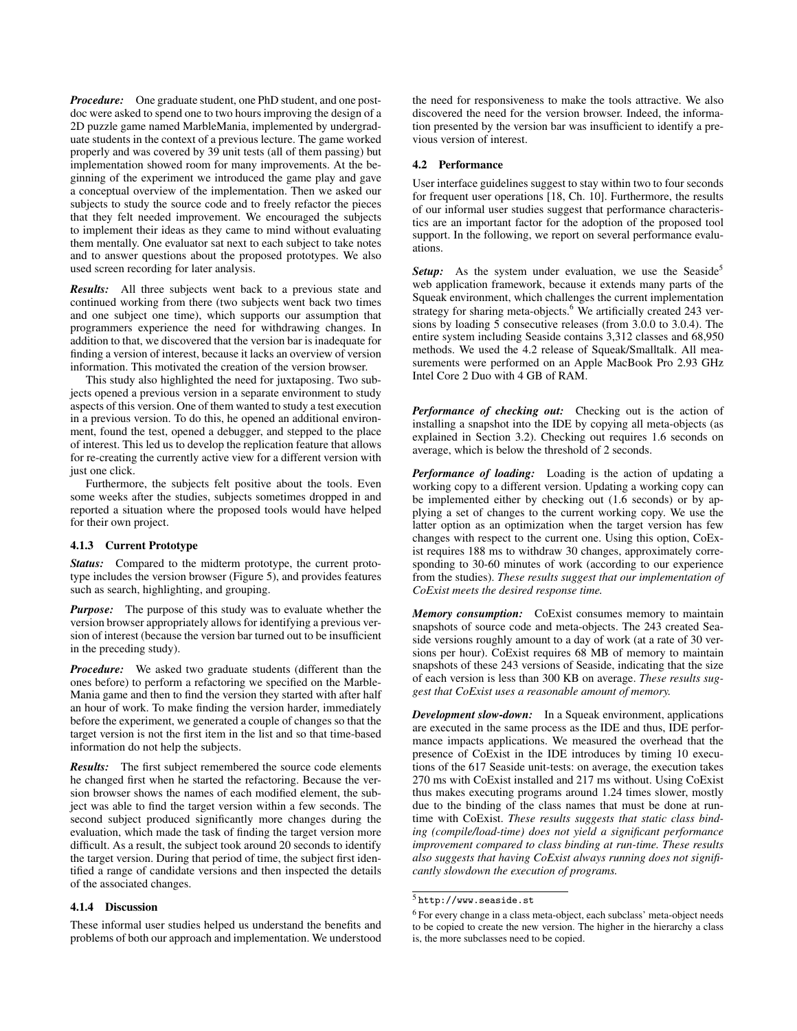*Procedure:* One graduate student, one PhD student, and one postdoc were asked to spend one to two hours improving the design of a 2D puzzle game named MarbleMania, implemented by undergraduate students in the context of a previous lecture. The game worked properly and was covered by 39 unit tests (all of them passing) but implementation showed room for many improvements. At the beginning of the experiment we introduced the game play and gave a conceptual overview of the implementation. Then we asked our subjects to study the source code and to freely refactor the pieces that they felt needed improvement. We encouraged the subjects to implement their ideas as they came to mind without evaluating them mentally. One evaluator sat next to each subject to take notes and to answer questions about the proposed prototypes. We also used screen recording for later analysis.

*Results:* All three subjects went back to a previous state and continued working from there (two subjects went back two times and one subject one time), which supports our assumption that programmers experience the need for withdrawing changes. In addition to that, we discovered that the version bar is inadequate for finding a version of interest, because it lacks an overview of version information. This motivated the creation of the version browser.

This study also highlighted the need for juxtaposing. Two subjects opened a previous version in a separate environment to study aspects of this version. One of them wanted to study a test execution in a previous version. To do this, he opened an additional environment, found the test, opened a debugger, and stepped to the place of interest. This led us to develop the replication feature that allows for re-creating the currently active view for a different version with just one click.

Furthermore, the subjects felt positive about the tools. Even some weeks after the studies, subjects sometimes dropped in and reported a situation where the proposed tools would have helped for their own project.

# 4.1.3 Current Prototype

*Status:* Compared to the midterm prototype, the current prototype includes the version browser (Figure 5), and provides features such as search, highlighting, and grouping.

*Purpose:* The purpose of this study was to evaluate whether the version browser appropriately allows for identifying a previous version of interest (because the version bar turned out to be insufficient in the preceding study).

*Procedure:* We asked two graduate students (different than the ones before) to perform a refactoring we specified on the Marble-Mania game and then to find the version they started with after half an hour of work. To make finding the version harder, immediately before the experiment, we generated a couple of changes so that the target version is not the first item in the list and so that time-based information do not help the subjects.

*Results:* The first subject remembered the source code elements he changed first when he started the refactoring. Because the version browser shows the names of each modified element, the subject was able to find the target version within a few seconds. The second subject produced significantly more changes during the evaluation, which made the task of finding the target version more difficult. As a result, the subject took around 20 seconds to identify the target version. During that period of time, the subject first identified a range of candidate versions and then inspected the details of the associated changes.

### 4.1.4 Discussion

These informal user studies helped us understand the benefits and problems of both our approach and implementation. We understood the need for responsiveness to make the tools attractive. We also discovered the need for the version browser. Indeed, the information presented by the version bar was insufficient to identify a previous version of interest.

### 4.2 Performance

User interface guidelines suggest to stay within two to four seconds for frequent user operations [18, Ch. 10]. Furthermore, the results of our informal user studies suggest that performance characteristics are an important factor for the adoption of the proposed tool support. In the following, we report on several performance evaluations.

*Setup:* As the system under evaluation, we use the Seaside<sup>5</sup> web application framework, because it extends many parts of the Squeak environment, which challenges the current implementation strategy for sharing meta-objects.<sup>6</sup> We artificially created 243 versions by loading 5 consecutive releases (from 3.0.0 to 3.0.4). The entire system including Seaside contains 3,312 classes and 68,950 methods. We used the 4.2 release of Squeak/Smalltalk. All measurements were performed on an Apple MacBook Pro 2.93 GHz Intel Core 2 Duo with 4 GB of RAM.

*Performance of checking out:* Checking out is the action of installing a snapshot into the IDE by copying all meta-objects (as explained in Section 3.2). Checking out requires 1.6 seconds on average, which is below the threshold of 2 seconds.

*Performance of loading:* Loading is the action of updating a working copy to a different version. Updating a working copy can be implemented either by checking out (1.6 seconds) or by applying a set of changes to the current working copy. We use the latter option as an optimization when the target version has few changes with respect to the current one. Using this option, CoExist requires 188 ms to withdraw 30 changes, approximately corresponding to 30-60 minutes of work (according to our experience from the studies). *These results suggest that our implementation of CoExist meets the desired response time.*

*Memory consumption:* CoExist consumes memory to maintain snapshots of source code and meta-objects. The 243 created Seaside versions roughly amount to a day of work (at a rate of 30 versions per hour). CoExist requires 68 MB of memory to maintain snapshots of these 243 versions of Seaside, indicating that the size of each version is less than 300 KB on average. *These results suggest that CoExist uses a reasonable amount of memory.*

*Development slow-down:* In a Squeak environment, applications are executed in the same process as the IDE and thus, IDE performance impacts applications. We measured the overhead that the presence of CoExist in the IDE introduces by timing 10 executions of the 617 Seaside unit-tests: on average, the execution takes 270 ms with CoExist installed and 217 ms without. Using CoExist thus makes executing programs around 1.24 times slower, mostly due to the binding of the class names that must be done at runtime with CoExist. *These results suggests that static class binding (compile/load-time) does not yield a significant performance improvement compared to class binding at run-time. These results also suggests that having CoExist always running does not significantly slowdown the execution of programs.*

 $^5$ http://www.seaside.st

<sup>6</sup> For every change in a class meta-object, each subclass' meta-object needs to be copied to create the new version. The higher in the hierarchy a class is, the more subclasses need to be copied.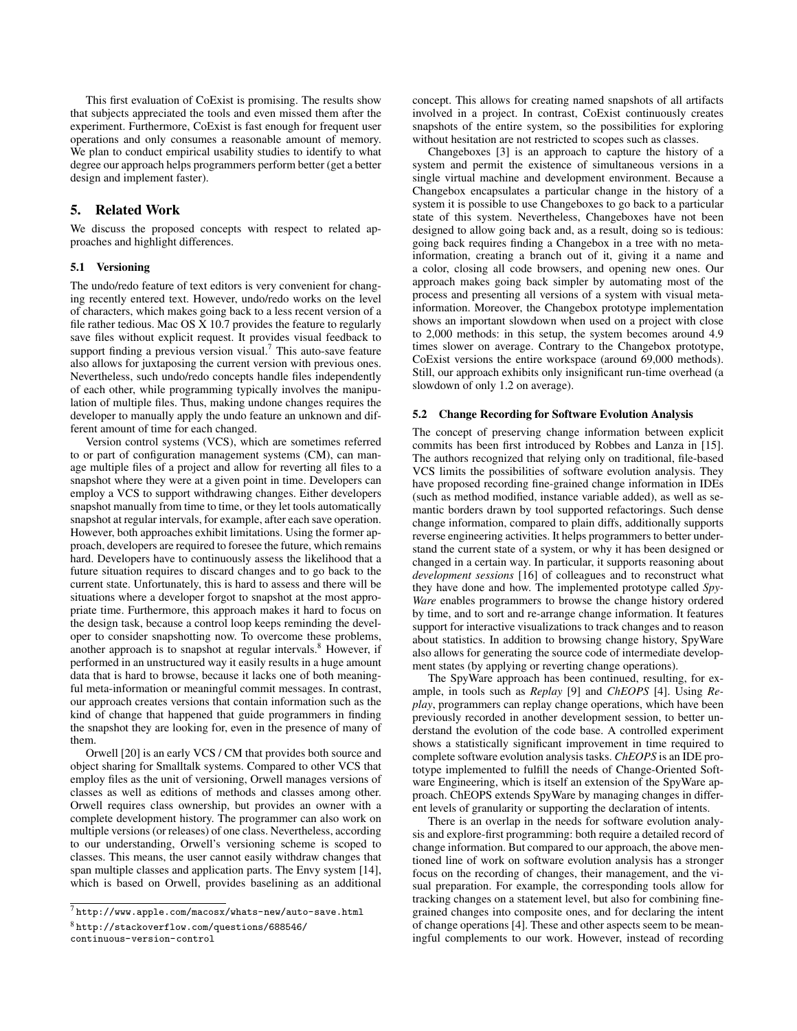This first evaluation of CoExist is promising. The results show that subjects appreciated the tools and even missed them after the experiment. Furthermore, CoExist is fast enough for frequent user operations and only consumes a reasonable amount of memory. We plan to conduct empirical usability studies to identify to what degree our approach helps programmers perform better (get a better design and implement faster).

# 5. Related Work

We discuss the proposed concepts with respect to related approaches and highlight differences.

### 5.1 Versioning

The undo/redo feature of text editors is very convenient for changing recently entered text. However, undo/redo works on the level of characters, which makes going back to a less recent version of a file rather tedious. Mac OS X 10.7 provides the feature to regularly save files without explicit request. It provides visual feedback to support finding a previous version visual.<sup>7</sup> This auto-save feature also allows for juxtaposing the current version with previous ones. Nevertheless, such undo/redo concepts handle files independently of each other, while programming typically involves the manipulation of multiple files. Thus, making undone changes requires the developer to manually apply the undo feature an unknown and different amount of time for each changed.

Version control systems (VCS), which are sometimes referred to or part of configuration management systems (CM), can manage multiple files of a project and allow for reverting all files to a snapshot where they were at a given point in time. Developers can employ a VCS to support withdrawing changes. Either developers snapshot manually from time to time, or they let tools automatically snapshot at regular intervals, for example, after each save operation. However, both approaches exhibit limitations. Using the former approach, developers are required to foresee the future, which remains hard. Developers have to continuously assess the likelihood that a future situation requires to discard changes and to go back to the current state. Unfortunately, this is hard to assess and there will be situations where a developer forgot to snapshot at the most appropriate time. Furthermore, this approach makes it hard to focus on the design task, because a control loop keeps reminding the developer to consider snapshotting now. To overcome these problems, another approach is to snapshot at regular intervals.<sup>8</sup> However, if performed in an unstructured way it easily results in a huge amount data that is hard to browse, because it lacks one of both meaningful meta-information or meaningful commit messages. In contrast, our approach creates versions that contain information such as the kind of change that happened that guide programmers in finding the snapshot they are looking for, even in the presence of many of them.

Orwell [20] is an early VCS / CM that provides both source and object sharing for Smalltalk systems. Compared to other VCS that employ files as the unit of versioning, Orwell manages versions of classes as well as editions of methods and classes among other. Orwell requires class ownership, but provides an owner with a complete development history. The programmer can also work on multiple versions (or releases) of one class. Nevertheless, according to our understanding, Orwell's versioning scheme is scoped to classes. This means, the user cannot easily withdraw changes that span multiple classes and application parts. The Envy system [14], which is based on Orwell, provides baselining as an additional

continuous-version-control

concept. This allows for creating named snapshots of all artifacts involved in a project. In contrast, CoExist continuously creates snapshots of the entire system, so the possibilities for exploring without hesitation are not restricted to scopes such as classes.

Changeboxes [3] is an approach to capture the history of a system and permit the existence of simultaneous versions in a single virtual machine and development environment. Because a Changebox encapsulates a particular change in the history of a system it is possible to use Changeboxes to go back to a particular state of this system. Nevertheless, Changeboxes have not been designed to allow going back and, as a result, doing so is tedious: going back requires finding a Changebox in a tree with no metainformation, creating a branch out of it, giving it a name and a color, closing all code browsers, and opening new ones. Our approach makes going back simpler by automating most of the process and presenting all versions of a system with visual metainformation. Moreover, the Changebox prototype implementation shows an important slowdown when used on a project with close to 2,000 methods: in this setup, the system becomes around 4.9 times slower on average. Contrary to the Changebox prototype, CoExist versions the entire workspace (around 69,000 methods). Still, our approach exhibits only insignificant run-time overhead (a slowdown of only 1.2 on average).

#### 5.2 Change Recording for Software Evolution Analysis

The concept of preserving change information between explicit commits has been first introduced by Robbes and Lanza in [15]. The authors recognized that relying only on traditional, file-based VCS limits the possibilities of software evolution analysis. They have proposed recording fine-grained change information in IDEs (such as method modified, instance variable added), as well as semantic borders drawn by tool supported refactorings. Such dense change information, compared to plain diffs, additionally supports reverse engineering activities. It helps programmers to better understand the current state of a system, or why it has been designed or changed in a certain way. In particular, it supports reasoning about *development sessions* [16] of colleagues and to reconstruct what they have done and how. The implemented prototype called *Spy-Ware* enables programmers to browse the change history ordered by time, and to sort and re-arrange change information. It features support for interactive visualizations to track changes and to reason about statistics. In addition to browsing change history, SpyWare also allows for generating the source code of intermediate development states (by applying or reverting change operations).

The SpyWare approach has been continued, resulting, for example, in tools such as *Replay* [9] and *ChEOPS* [4]. Using *Replay*, programmers can replay change operations, which have been previously recorded in another development session, to better understand the evolution of the code base. A controlled experiment shows a statistically significant improvement in time required to complete software evolution analysis tasks. *ChEOPS* is an IDE prototype implemented to fulfill the needs of Change-Oriented Software Engineering, which is itself an extension of the SpyWare approach. ChEOPS extends SpyWare by managing changes in different levels of granularity or supporting the declaration of intents.

There is an overlap in the needs for software evolution analysis and explore-first programming: both require a detailed record of change information. But compared to our approach, the above mentioned line of work on software evolution analysis has a stronger focus on the recording of changes, their management, and the visual preparation. For example, the corresponding tools allow for tracking changes on a statement level, but also for combining finegrained changes into composite ones, and for declaring the intent of change operations [4]. These and other aspects seem to be meaningful complements to our work. However, instead of recording

 $7$ http://www.apple.com/macosx/whats-new/auto-save.html <sup>8</sup> http://stackoverflow.com/questions/688546/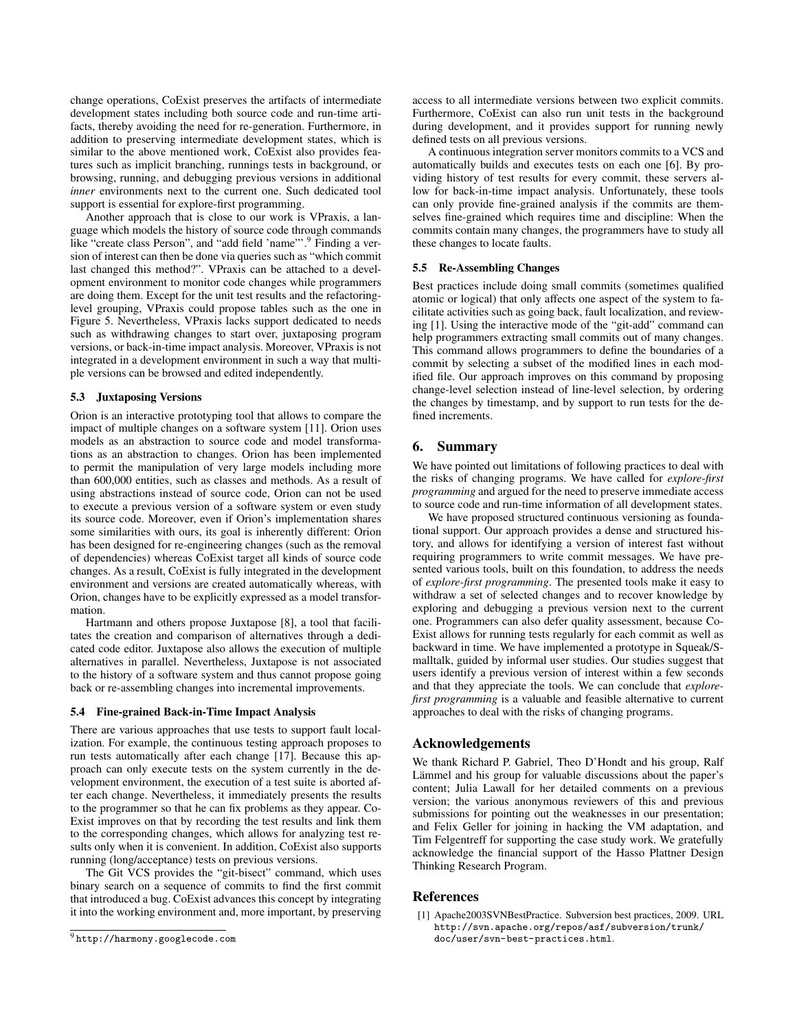change operations, CoExist preserves the artifacts of intermediate development states including both source code and run-time artifacts, thereby avoiding the need for re-generation. Furthermore, in addition to preserving intermediate development states, which is similar to the above mentioned work, CoExist also provides features such as implicit branching, runnings tests in background, or browsing, running, and debugging previous versions in additional *inner* environments next to the current one. Such dedicated tool support is essential for explore-first programming.

Another approach that is close to our work is VPraxis, a language which models the history of source code through commands like "create class Person", and "add field 'name"'.<sup>9</sup> Finding a version of interest can then be done via queries such as "which commit last changed this method?". VPraxis can be attached to a development environment to monitor code changes while programmers are doing them. Except for the unit test results and the refactoringlevel grouping, VPraxis could propose tables such as the one in Figure 5. Nevertheless, VPraxis lacks support dedicated to needs such as withdrawing changes to start over, juxtaposing program versions, or back-in-time impact analysis. Moreover, VPraxis is not integrated in a development environment in such a way that multiple versions can be browsed and edited independently.

#### 5.3 Juxtaposing Versions

Orion is an interactive prototyping tool that allows to compare the impact of multiple changes on a software system [11]. Orion uses models as an abstraction to source code and model transformations as an abstraction to changes. Orion has been implemented to permit the manipulation of very large models including more than 600,000 entities, such as classes and methods. As a result of using abstractions instead of source code, Orion can not be used to execute a previous version of a software system or even study its source code. Moreover, even if Orion's implementation shares some similarities with ours, its goal is inherently different: Orion has been designed for re-engineering changes (such as the removal of dependencies) whereas CoExist target all kinds of source code changes. As a result, CoExist is fully integrated in the development environment and versions are created automatically whereas, with Orion, changes have to be explicitly expressed as a model transformation.

Hartmann and others propose Juxtapose [8], a tool that facilitates the creation and comparison of alternatives through a dedicated code editor. Juxtapose also allows the execution of multiple alternatives in parallel. Nevertheless, Juxtapose is not associated to the history of a software system and thus cannot propose going back or re-assembling changes into incremental improvements.

#### 5.4 Fine-grained Back-in-Time Impact Analysis

There are various approaches that use tests to support fault localization. For example, the continuous testing approach proposes to run tests automatically after each change [17]. Because this approach can only execute tests on the system currently in the development environment, the execution of a test suite is aborted after each change. Nevertheless, it immediately presents the results to the programmer so that he can fix problems as they appear. Co-Exist improves on that by recording the test results and link them to the corresponding changes, which allows for analyzing test results only when it is convenient. In addition, CoExist also supports running (long/acceptance) tests on previous versions.

The Git VCS provides the "git-bisect" command, which uses binary search on a sequence of commits to find the first commit that introduced a bug. CoExist advances this concept by integrating it into the working environment and, more important, by preserving access to all intermediate versions between two explicit commits. Furthermore, CoExist can also run unit tests in the background during development, and it provides support for running newly defined tests on all previous versions.

A continuous integration server monitors commits to a VCS and automatically builds and executes tests on each one [6]. By providing history of test results for every commit, these servers allow for back-in-time impact analysis. Unfortunately, these tools can only provide fine-grained analysis if the commits are themselves fine-grained which requires time and discipline: When the commits contain many changes, the programmers have to study all these changes to locate faults.

#### 5.5 Re-Assembling Changes

Best practices include doing small commits (sometimes qualified atomic or logical) that only affects one aspect of the system to facilitate activities such as going back, fault localization, and reviewing [1]. Using the interactive mode of the "git-add" command can help programmers extracting small commits out of many changes. This command allows programmers to define the boundaries of a commit by selecting a subset of the modified lines in each modified file. Our approach improves on this command by proposing change-level selection instead of line-level selection, by ordering the changes by timestamp, and by support to run tests for the defined increments.

# 6. Summary

We have pointed out limitations of following practices to deal with the risks of changing programs. We have called for *explore-first programming* and argued for the need to preserve immediate access to source code and run-time information of all development states.

We have proposed structured continuous versioning as foundational support. Our approach provides a dense and structured history, and allows for identifying a version of interest fast without requiring programmers to write commit messages. We have presented various tools, built on this foundation, to address the needs of *explore-first programming*. The presented tools make it easy to withdraw a set of selected changes and to recover knowledge by exploring and debugging a previous version next to the current one. Programmers can also defer quality assessment, because Co-Exist allows for running tests regularly for each commit as well as backward in time. We have implemented a prototype in Squeak/Smalltalk, guided by informal user studies. Our studies suggest that users identify a previous version of interest within a few seconds and that they appreciate the tools. We can conclude that *explorefirst programming* is a valuable and feasible alternative to current approaches to deal with the risks of changing programs.

### Acknowledgements

We thank Richard P. Gabriel, Theo D'Hondt and his group, Ralf Lämmel and his group for valuable discussions about the paper's content; Julia Lawall for her detailed comments on a previous version; the various anonymous reviewers of this and previous submissions for pointing out the weaknesses in our presentation; and Felix Geller for joining in hacking the VM adaptation, and Tim Felgentreff for supporting the case study work. We gratefully acknowledge the financial support of the Hasso Plattner Design Thinking Research Program.

#### References

[1] Apache2003SVNBestPractice. Subversion best practices, 2009. URL http://svn.apache.org/repos/asf/subversion/trunk/ doc/user/svn-best-practices.html.

<sup>9</sup> http://harmony.googlecode.com